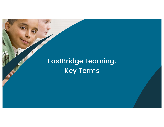# FastBridge Learning: Key Terms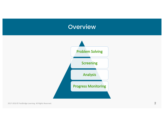# **Overview**



2017-2018 © FastBridge Learning. All Rights Reserved.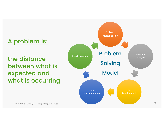# A problem is:

the distance between what is expected and what is occurring

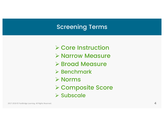# Screening Terms

- **≻ Core Instruction**
- Ø Narrow Measure
- **≻ Broad Measure**
- $\triangleright$  Benchmark
- $\triangleright$  Norms
- Ø Composite Score
- $\triangleright$  Subscale

2017-2018 © FastBridge Learning. All Rights Reserved.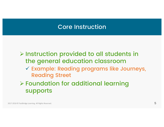### Core Instruction

 $\triangleright$  Instruction provided to all students in the general education classroom

 $\checkmark$  Example: Reading programs like Journeys, Reading Street

Ø Foundation for additional learning supports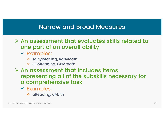#### Narrow and Broad Measures

 $\triangleright$  An assessment that evaluates skills related to one part of an overall ability

- $\checkmark$  Examples:
	- ❖ earlyReading, earlyMath
	- ❖ CBMreading, CBMmath
- $\triangleright$  An assessment that includes items representing all of the subskills necessary for a comprehensive task
	- $\checkmark$  Examples:
		- \* aReading, aMath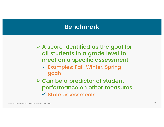#### Benchmark

 $\triangleright$  A score identified as the goal for all students in a grade level to meet on a specific assessment  $\checkmark$  Examples: Fall, Winter, Spring goals

 $\triangleright$  Can be a predictor of student performance on other measures

 $\checkmark$  State assessments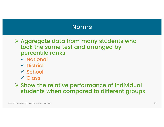#### Norms

 $\triangleright$  Aggregate data from many students who took the same test and arranged by percentile ranks

- $\checkmark$  National
- $\checkmark$  District
- $\checkmark$  School
- $\sqrt{\phantom{a}}$ Class

 $\triangleright$  Show the relative performance of individual students when compared to different groups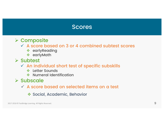#### Scores

- **≻ Composite** 
	- $\checkmark$  A score based on 3 or 4 combined subtest scores
		- **❖** earlyReading
		- ❖ earlyMath
- $\triangleright$  Subtest
	- $\checkmark$  An individual short test of specific subskills
		- ❖ Letter Sounds
		- ◆ Numeral Identification
- $\triangleright$  Subscale
	- $\checkmark$  A score based on selected items on a test
		- ❖ Social, Academic, Behavior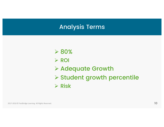#### Analysis Terms

 $>80%$  $\triangleright$  ROI Ø Adequate Growth Ø Student growth percentile  $\triangleright$  Risk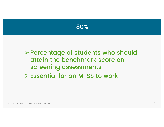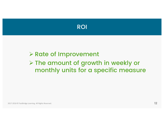

# **≻ Rate of Improvement** Ø The amount of growth in weekly or monthly units for a specific measure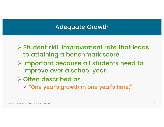#### Adequate Growth

- $\triangleright$  Student skill improvement rate that leads to attaining a benchmark score
- Ø Important because all students need to improve over a school year
- Ø Often described as
	- $\checkmark$  "One year's growth in one year's time."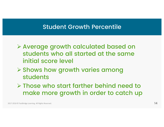#### Student Growth Percentile

- Ø Average growth calculated based on students who all started at the same initial score level
- Ø Shows how growth varies among students
- $\triangleright$  Those who start farther behind need to make more growth in order to catch up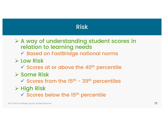# Risk

Ø A way of understanding student scores in relation to learning needs

 $\checkmark$  Based on FastBridge national norms

- $\triangleright$  Low Risk
	- $\checkmark$  Scores at or above the 40<sup>th</sup> percentile
- Ø Some Risk
	- $\checkmark$  Scores from the 15<sup>th</sup> 39<sup>th</sup> percentiles
- $\triangleright$  High Risk
	- $\checkmark$  Scores below the 15<sup>th</sup> percentile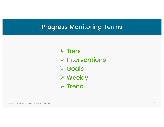#### Progress Monitoring Terms

 $\triangleright$  Tiers  $\triangleright$  Interventions **≻ Goals ≻ Weekly**  $\triangleright$  Trend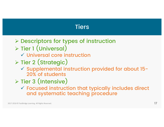## **Tiers**

- Ø Descriptors for types of instruction
- Ø Tier 1 (Universal)
	- $\checkmark$  Universal core instruction
- Ø Tier 2 (Strategic)
	- $\checkmark$  Supplemental instruction provided for about 15-20% of students
- $\triangleright$  Tier 3 (Intensive)
	- $\checkmark$  Focused instruction that typically includes direct and systematic teaching procedure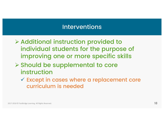#### Interventions

- $\triangleright$  Additional instruction provided to individual students for the purpose of improving one or more specific skills
- Ø Should be supplemental to core instruction
	- $\checkmark$  Except in cases where a replacement core curriculum is needed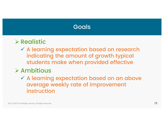# **Goals**

# $\triangleright$  Realistic

 $\checkmark$  A learning expectation based on research indicating the amount of growth typical students make when provided effective

# $\triangleright$  Ambitious

 $\checkmark$  A learning expectation based on an above average weekly rate of improvement instruction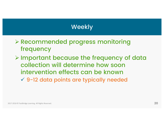# Weekly

- Ø Recommended progress monitoring frequency
- Ø Important because the frequency of data collection will determine how soon intervention effects can be known  $\sqrt{9}$ -12 data points are typically needed